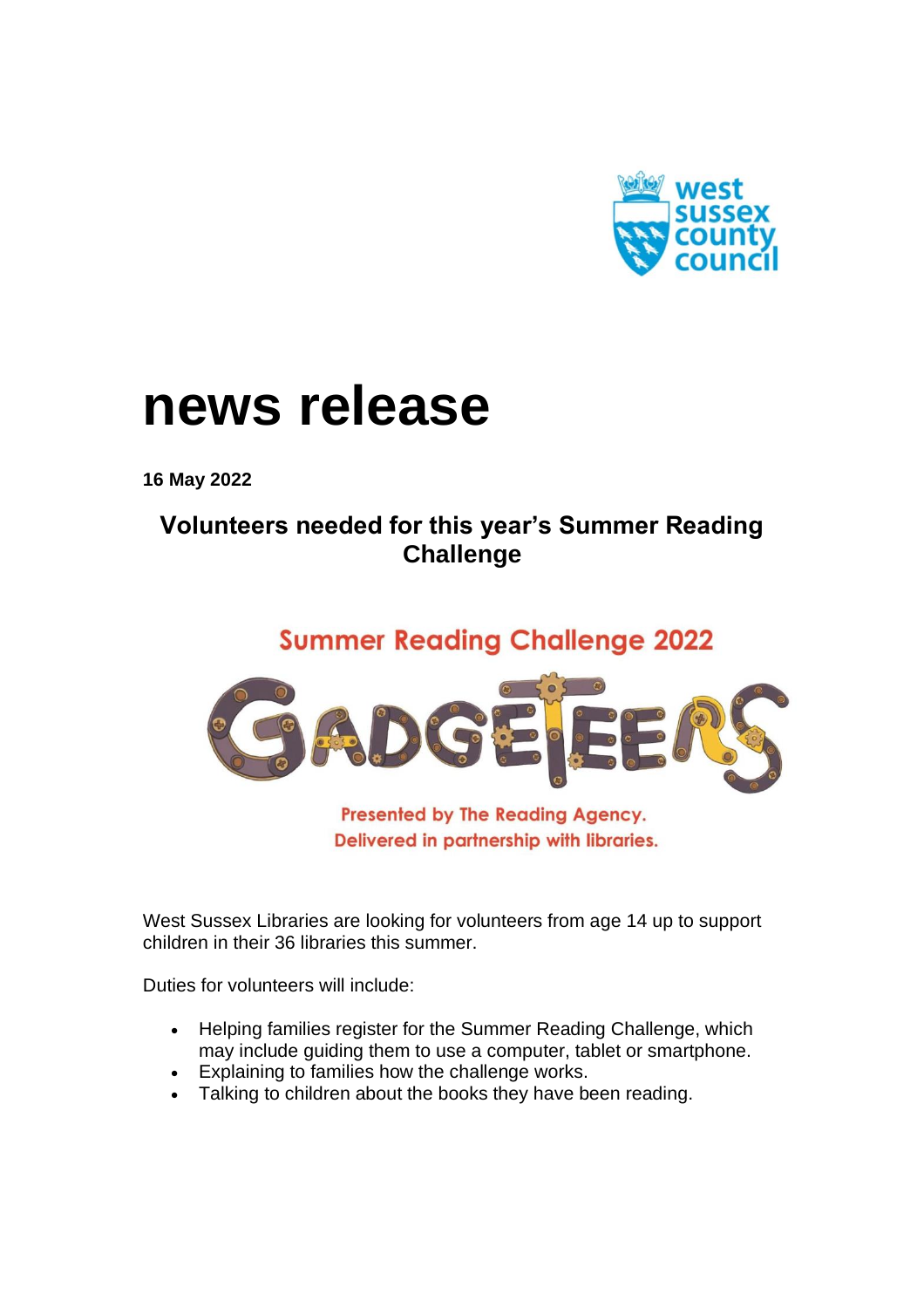

## **news release**

**16 May 2022**

## **Volunteers needed for this year's Summer Reading Challenge**

## **Summer Reading Challenge 2022**



**Presented by The Reading Agency.** Delivered in partnership with libraries.

West Sussex Libraries are looking for volunteers from age 14 up to support children in their 36 libraries this summer.

Duties for volunteers will include:

- Helping families register for the Summer Reading Challenge, which may include guiding them to use a computer, tablet or smartphone.
- Explaining to families how the challenge works.
- Talking to children about the books they have been reading.